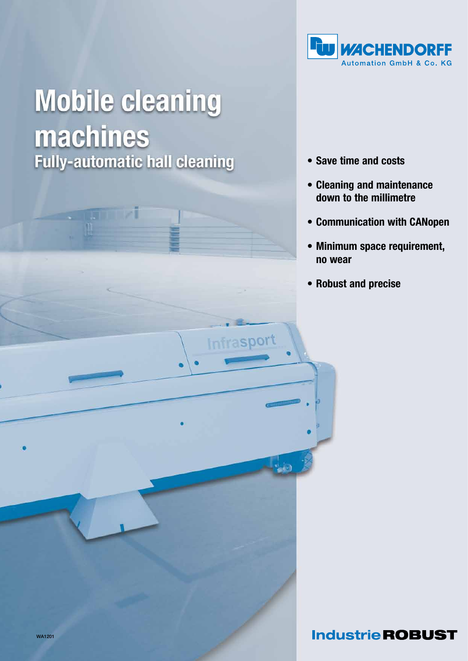

# **Mobile cleaning machines**<br>Fully-automatic hall cleaning

**STERN** 

- • Save time and costs
- • Cleaning and maintenance down to the millimetre
- • Communication with CANopen
- • Minimum space requirement, no wear
- • Robust and precise

Infrasport

**Industrie ROBUST**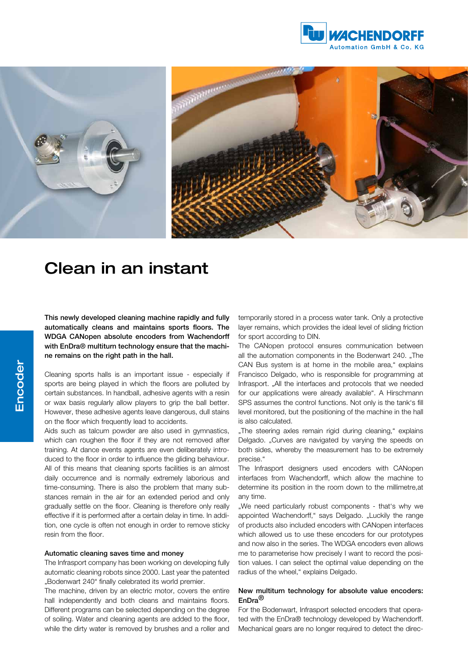





# Clean in an instant

This newly developed cleaning machine rapidly and fully automatically cleans and maintains sports floors. The WDGA CANopen absolute encoders from Wachendorff with EnDra® multiturn technology ensure that the machine remains on the right path in the hall.

Cleaning sports halls is an important issue - especially if sports are being played in which the floors are polluted by certain substances. In handball, adhesive agents with a resin or wax basis regularly allow players to grip the ball better. However, these adhesive agents leave dangerous, dull stains on the floor which frequently lead to accidents.

Aids such as talcum powder are also used in gymnastics, which can roughen the floor if they are not removed after training. At dance events agents are even deliberately introduced to the floor in order to influence the gliding behaviour. All of this means that cleaning sports facilities is an almost daily occurrence and is normally extremely laborious and time-consuming. There is also the problem that many substances remain in the air for an extended period and only gradually settle on the floor. Cleaning is therefore only really effective if it is performed after a certain delay in time. In addition, one cycle is often not enough in order to remove sticky resin from the floor.

## Automatic cleaning saves time and money

The Infrasport company has been working on developing fully automatic cleaning robots since 2000. Last year the patented ..Bodenwart 240" finally celebrated its world premier.

The machine, driven by an electric motor, covers the entire hall independently and both cleans and maintains floors. Different programs can be selected depending on the degree of soiling. Water and cleaning agents are added to the floor, while the dirty water is removed by brushes and a roller and temporarily stored in a process water tank. Only a protective layer remains, which provides the ideal level of sliding friction for sport according to DIN.

The CANopen protocol ensures communication between all the automation components in the Bodenwart 240. "The CAN Bus system is at home in the mobile area," explains Francisco Delgado, who is responsible for programming at Infrasport. "All the interfaces and protocols that we needed for our applications were already available". A Hirschmann SPS assumes the control functions. Not only is the tank's fill level monitored, but the positioning of the machine in the hall is also calculated.

"The steering axles remain rigid during cleaning," explains Delgado. "Curves are navigated by varying the speeds on both sides, whereby the measurement has to be extremely precise."

The Infrasport designers used encoders with CANopen interfaces from Wachendorff, which allow the machine to determine its position in the room down to the millimetre,at any time.

"We need particularly robust components - that's why we appointed Wachendorff," says Delgado. "Luckily the range of products also included encoders with CANopen interfaces which allowed us to use these encoders for our prototypes and now also in the series. The WDGA encoders even allows me to parameterise how precisely I want to record the position values. I can select the optimal value depending on the radius of the wheel," explains Delgado.

#### New multiturn technology for absolute value encoders: EnDra®

For the Bodenwart, Infrasport selected encoders that operated with the EnDra® technology developed by Wachendorff. Mechanical gears are no longer required to detect the direc-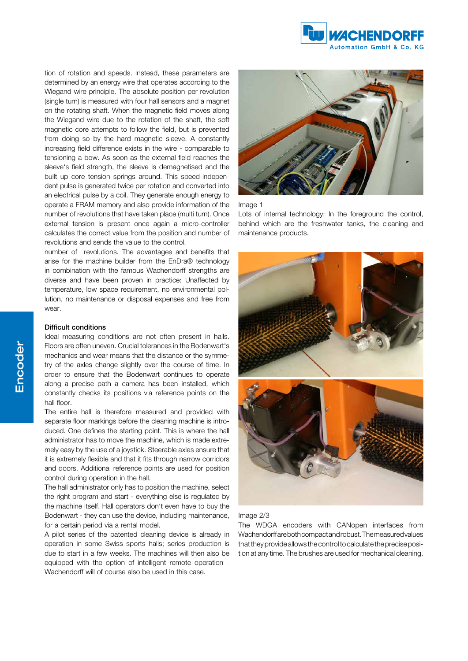

tion of rotation and speeds. Instead, these parameters are determined by an energy wire that operates according to the Wiegand wire principle. The absolute position per revolution (single turn) is measured with four hall sensors and a magnet on the rotating shaft. When the magnetic field moves along the Wiegand wire due to the rotation of the shaft, the soft magnetic core attempts to follow the field, but is prevented from doing so by the hard magnetic sleeve. A constantly increasing field difference exists in the wire - comparable to tensioning a bow. As soon as the external field reaches the sleeve's field strength, the sleeve is demagnetised and the built up core tension springs around. This speed-independent pulse is generated twice per rotation and converted into an electrical pulse by a coil. They generate enough energy to operate a FRAM memory and also provide information of the number of revolutions that have taken place (multi turn). Once external tension is present once again a micro-controller calculates the correct value from the position and number of revolutions and sends the value to the control.

number of revolutions. The advantages and benefits that arise for the machine builder from the EnDra® technology in combination with the famous Wachendorff strengths are diverse and have been proven in practice: Unaffected by temperature, low space requirement, no environmental pollution, no maintenance or disposal expenses and free from wear.

#### Difficult conditions

Ideal measuring conditions are not often present in halls. Floors are often uneven. Crucial tolerances in the Bodenwart's mechanics and wear means that the distance or the symmetry of the axles change slightly over the course of time. In order to ensure that the Bodenwart continues to operate along a precise path a camera has been installed, which constantly checks its positions via reference points on the hall floor.

The entire hall is therefore measured and provided with separate floor markings before the cleaning machine is introduced. One defines the starting point. This is where the hall administrator has to move the machine, which is made extremely easy by the use of a joystick. Steerable axles ensure that it is extremely flexible and that it fits through narrow corridors and doors. Additional reference points are used for position control during operation in the hall.

The hall administrator only has to position the machine, select the right program and start - everything else is regulated by the machine itself. Hall operators don't even have to buy the Bodenwart - they can use the device, including maintenance, for a certain period via a rental model.

A pilot series of the patented cleaning device is already in operation in some Swiss sports halls; series production is due to start in a few weeks. The machines will then also be equipped with the option of intelligent remote operation - Wachendorff will of course also be used in this case.



#### Image 1

Lots of internal technology: In the foreground the control, behind which are the freshwater tanks, the cleaning and maintenance products.



## Image 2/3

The WDGA encoders with CANopen interfaces from Wachendorff are both compact and robust. The measured values that they provide allows the control to calculate the precise position at any time. The brushes are used for mechanical cleaning.